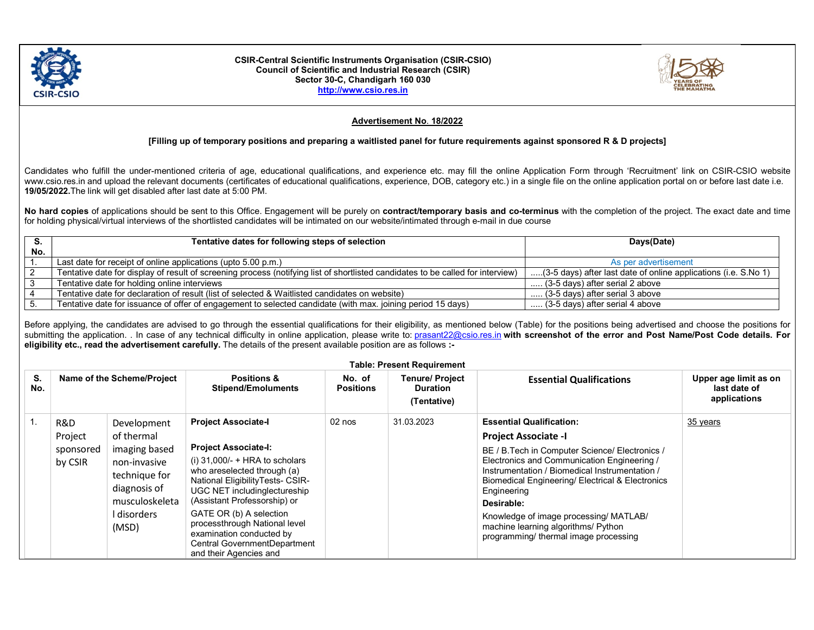

## CSIR-Central Scientific Instruments Organisation (CSIR-CSIO) Council of Scientific and Industrial Research (CSIR) Sector 30-C, Chandigarh 160 030 http://www.csio.res.in



## Advertisement No. 18/2022

## [Filling up of temporary positions and preparing a waitlisted panel for future requirements against sponsored R & D projects]

Candidates who fulfill the under-mentioned criteria of age, educational qualifications, and experience etc. may fill the online Application Form through 'Recruitment' link on CSIR-CSIO website www.csio.res.in and upload the relevant documents (certificates of educational qualifications, experience, DOB, category etc.) in a single file on the online application portal on or before last date i.e. 19/05/2022.The link will get disabled after last date at 5:00 PM.

No hard copies of applications should be sent to this Office. Engagement will be purely on contract/temporary basis and co-terminus with the completion of the project. The exact date and time for holding physical/virtual interviews of the shortlisted candidates will be intimated on our website/intimated through e-mail in due course

|     | Tentative dates for following steps of selection                                                                                | Days(Date)                                                      |  |
|-----|---------------------------------------------------------------------------------------------------------------------------------|-----------------------------------------------------------------|--|
| No. |                                                                                                                                 |                                                                 |  |
|     | Last date for receipt of online applications (upto 5.00 p.m.)                                                                   | As per advertisement                                            |  |
|     | Tentative date for display of result of screening process (notifying list of shortlisted candidates to be called for interview) | (3-5 days) after last date of online applications (i.e. S.No 1) |  |
|     | Tentative date for holding online interviews                                                                                    | (3-5 days) after serial 2 above                                 |  |
|     | Tentative date for declaration of result (list of selected & Waitlisted candidates on website)                                  | $\ldots$ (3-5 days) after serial 3 above                        |  |
|     | Tentative date for issuance of offer of engagement to selected candidate (with max. joining period 15 days)                     | (3-5 days) after serial 4 above                                 |  |

Before applying, the candidates are advised to go through the essential qualifications for their eligibility, as mentioned below (Table) for the positions being advertised and choose the positions for submitting the application. In case of any technical difficulty in online application, please write to: prasant22@csio.res.in with screenshot of the error and Post Name/Post Code details. For eligibility etc., read the advertisement carefully. The details of the present available position are as follows :-

|           | <b>Table: Present Requirement</b>      |                                                                                                                                       |                                                                                                                                                                                                                                                                                                                                                                                     |                            |                                                          |                                                                                                                                                                                                                                                                                                                                                                                                                               |                                                       |  |
|-----------|----------------------------------------|---------------------------------------------------------------------------------------------------------------------------------------|-------------------------------------------------------------------------------------------------------------------------------------------------------------------------------------------------------------------------------------------------------------------------------------------------------------------------------------------------------------------------------------|----------------------------|----------------------------------------------------------|-------------------------------------------------------------------------------------------------------------------------------------------------------------------------------------------------------------------------------------------------------------------------------------------------------------------------------------------------------------------------------------------------------------------------------|-------------------------------------------------------|--|
| S.<br>No. |                                        | Name of the Scheme/Project                                                                                                            | <b>Positions &amp;</b><br><b>Stipend/Emoluments</b>                                                                                                                                                                                                                                                                                                                                 | No. of<br><b>Positions</b> | <b>Tenure/ Project</b><br><b>Duration</b><br>(Tentative) | <b>Essential Qualifications</b>                                                                                                                                                                                                                                                                                                                                                                                               | Upper age limit as on<br>last date of<br>applications |  |
|           | R&D<br>Project<br>sponsored<br>by CSIR | Development<br>of thermal<br>imaging based<br>non-invasive<br>technique for<br>diagnosis of<br>musculoskeleta<br>l disorders<br>(MSD) | <b>Project Associate-I</b><br><b>Project Associate-I:</b><br>(i) $31,000/$ - + HRA to scholars<br>who areselected through (a)<br>National EligibilityTests- CSIR-<br>UGC NET includinglectureship<br>(Assistant Professorship) or<br>GATE OR (b) A selection<br>processthrough National level<br>examination conducted by<br>Central GovernmentDepartment<br>and their Agencies and | $02$ nos                   | 31.03.2023                                               | <b>Essential Qualification:</b><br><b>Project Associate -I</b><br>BE / B. Tech in Computer Science/ Electronics /<br>Electronics and Communication Engineering /<br>Instrumentation / Biomedical Instrumentation /<br>Biomedical Engineering/ Electrical & Electronics<br>Engineering<br>Desirable:<br>Knowledge of image processing/ MATLAB/<br>machine learning algorithms/ Python<br>programming/ thermal image processing | 35 years                                              |  |